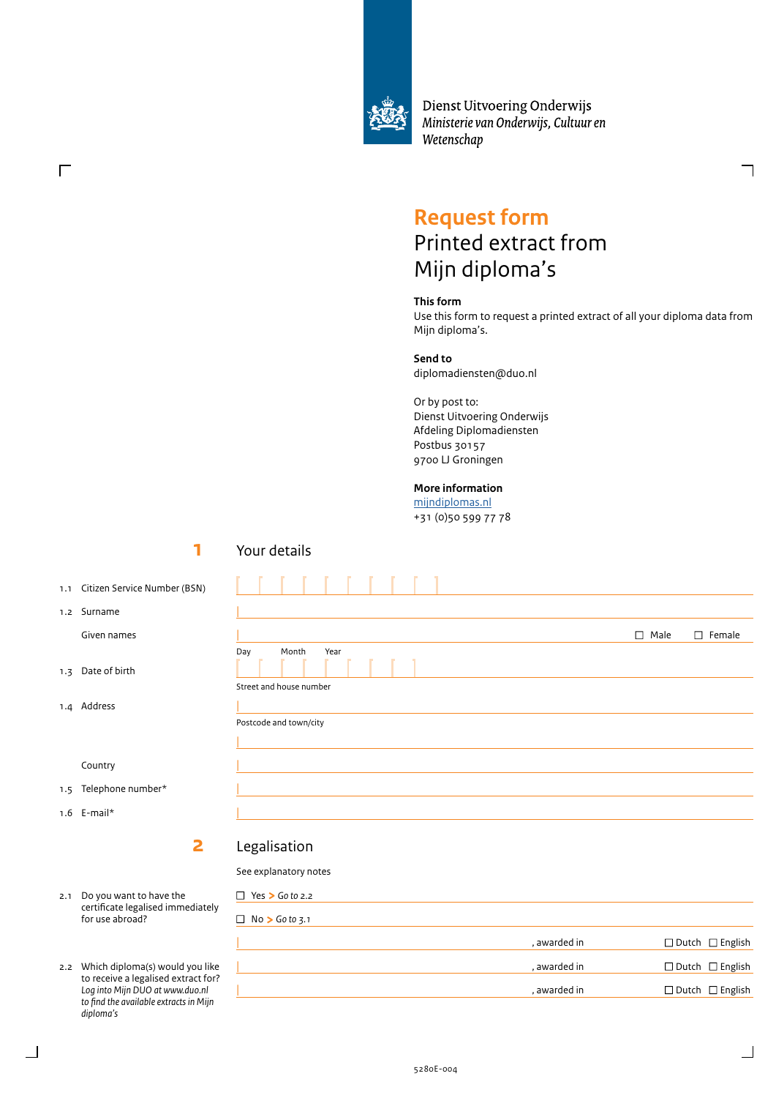

Dienst Uitvoering Onderwijs Ministerie van Onderwijs, Cultuur en Wetenschap

# **Request form**

# Printed extract from Mijn diploma's

### **This form**

Use this form to request a printed extract of all your diploma data from Mijn diploma's.

### **Send to**

diplomadiensten@duo.nl

Or by post to: Dienst Uitvoering Onderwijs Afdeling Diplomadiensten Postbus 30157 9700 LJ Groningen

### **More information**

[mijndiplomas.nl](https://www.duo.nl/mijn-diplomas/mijn-diplomas.jsp) +31 (0)50 599 77 78

# **1** 1.1 Citizen Service Number (BSN) 1.2 Surname Given names 1.3 Date of birth Country  **2** 2.1 Do you want to have the certificate legalised immediately for use abroad? Your details  $\Box$  Male  $\Box$  Female  $\Box$  Female  $\Box$  Female  $\Box$  Female  $\Box$  Female  $\Box$  Female  $\Box$  Female  $\Box$  Female  $\Box$  Female  $\Box$  Female  $\Box$  Female  $\Box$  Female  $\Box$  Female  $\Box$  Female  $\Box$  Female  $\Box$  Female  $\Box$  Female  $\Box$  Fe Day Month Year Street and house number | Postcode and town/city | Legalisation See explanatory notes □ Yes > Go to 2.2  $\Box$  No  $\triangleright$  Go to 3.1

2.2 Which diploma(s) would you like to receive a legalised extract for? *Log into Mijn DUO at www.duo.nl to find the available extracts in Mijn diploma's*

5280E-004

1.4 Address

 $\Gamma$ 

1.5 Telephone number\*

1.6 E-mail\*

|        | , awarded in | $\Box$ Dutch $\Box$ English |
|--------|--------------|-----------------------------|
| e<br>? | , awarded in | $\Box$ Dutch $\Box$ English |
|        | , awarded in | $\Box$ Dutch $\Box$ English |
|        |              |                             |